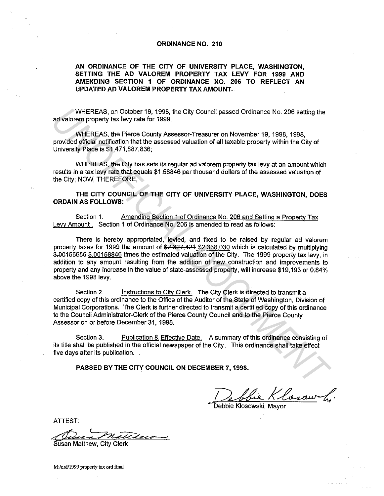## **ORDINANCE NO. 210**

**AN ORDINANCE OF THE CITY OF UNIVERSITY PLACE, WASHINGTON, SETTING THE AD VALOREM PROPERTY TAX LEVY FOR 1999 AND AMENDING SECTION 1 OF ORDINANCE NO. 206 TO REFLECT AN UPDATED AD VALOREM PROPERTY TAX AMOUNT.** 

WHEREAS, on October 19, 1998, the City Council passed Ordinance No. 206 setting the ad valorem property tax levy rate for 1999;

WHEREAS, the Pierce County Assessor-Treasurer on November 19, 1998, 1998, provided official notification that the assessed valuation of all taxable property within the City of University Place is \$1,471,887,836;

WHEREAS, the City has sets its regular ad valorem property tax levy at an amount which results in a tax levy rate that equals \$1.58846 per thousand dollars of the assessed valuation of the City; NOW, THEREFORE,

**THE CITY COUNCIL OF THE CITY OF UNIVERSITY PLACE, WASHINGTON, DOES ORDAIN AS FOLLOWS:** 

Section 1. Amending Section 1 of Ordinance No. 206 and Setting a Property Tax Levy Amount. Section 1 of Ordinance No. 206 is amended to read as follows:

There is hereby appropriated, levied, and fixed to be raised by regular ad valorem property taxes for 1999 the amount of  $$2,327,424$  \$2,338,030 which is calculated by multiplying \$,00156656 \$.00158846 times the estimated valuation of the City. The 1999 property tax levy, in addition to any amount resulting from the addition of new construction and improvements to property and any increase in the value of state-assessed property, will increase \$19,193 or 0.84% above the 1998 levy. WHEREAS, on Cotober 19, 1998, the City Council passed Ordinance No. 206 setting the<br>advalorem property tax levy rate for 1999;<br>WHEREAS, the Pierce County Assessor-Treasurer on November 19, 1998, 1998,<br>provided official not

Section 2. Instructions to City Clerk. The City Clerk is directed to transmit a certified copy of this ordinance to the Office of the Auditor of the State of Washington, Division of Municipal Corporations. The Clerk is further directed to transmit a certified copy of this ordinance to the Council Administrator-Clerk of the Pierce County Council and to the Pierce County Assessor on or before December 31, 1998.

Section 3. Publication & Effective Date. A summary of this ordinance consisting of its title shall be published in the official newspaper of the City. This ordinance shall take effect five days after its publication.

**PASSED BY THE CITY COUNCIL ON DECEMBER 7, 1998.** 

D~/:~ Klosowski, Mayor

Debbie Klosowski, Mavor

ATTEST:

Susan Matthew, City Clerk

**M:/ord/1999 property tax ord final**